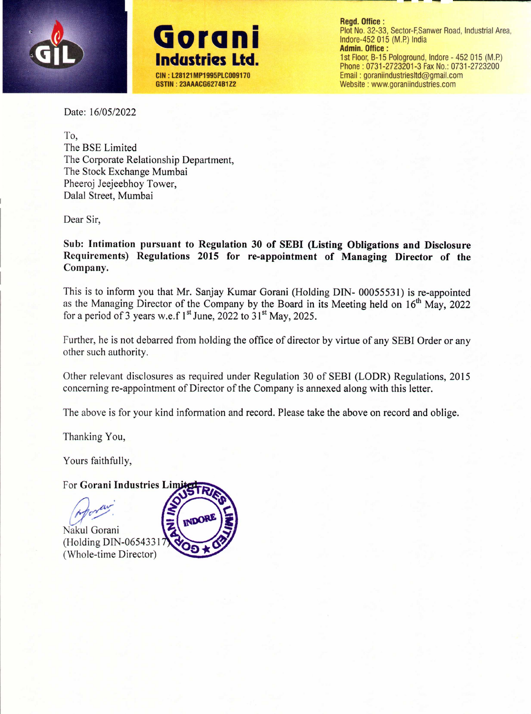



**Regd. Office:** Plot No. 32-33, Sector-F, Sanwer Road, Industrial Area, Indore-452 015 (M.P.) India **Admin. Office:** 1st Floor, B-15 Pologround, Indore - 452 015 (M.P.) Phone: 0731-2723201-3 Fax No.: 0731-2723200 Email: goraniindustriesItd@gmail.com Website: www.goraniindustries.com

Date: *16/05/2022*

To, The BSE Limited The Corporate Relationship Department, The Stock Exchange Mumbai Pheeroj Jeejeebhoy Tower, Dalal Street, Mumbai

Dear Sir,

Sub: Intimation pursuant to Regulation 30 of SEBI (Listing Obligations and Disclosure Requirements) Regulations 2015 for re-appointment of Managing Director of the Company.

This is to inform you that Mr. Sanjay Kumar Gorani (Holding DIN- 00055531) is re-appointed as the Managing Director of the Company by the Board in its Meeting held on  $16<sup>th</sup>$  May, 2022 for a period of 3 years w.e.f  $1^{st}$  June, 2022 to  $31^{st}$  May, 2025.

Further, he is not debarred from holding the office of director by virtue of any SEBI Order or any other such authority.

Other relevant disclosures as required under Regulation 30 of SEBI (LODR) Regulations, 2015 concerning re-appointment of Director of the Company is annexed along with this letter.

The above is for your kind information and record. Please take the above on record and oblige.

Thanking You,

Yours faithfully,

For Gorani Industries Limi

*f}~*

Nakul Gorani (Holding DIN-0654331 (Whole-time Director)